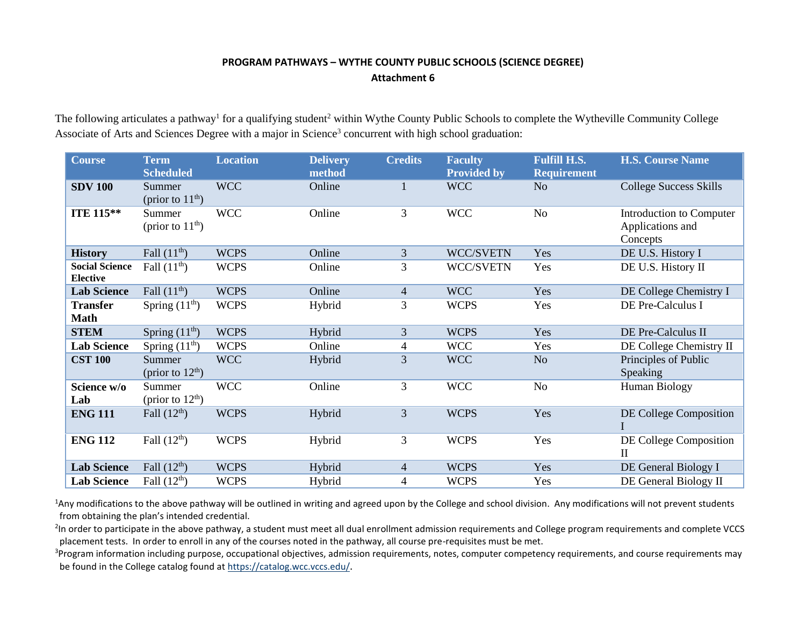## **PROGRAM PATHWAYS – WYTHE COUNTY PUBLIC SCHOOLS (SCIENCE DEGREE) Attachment 6**

The following articulates a pathway<sup>1</sup> for a qualifying student<sup>2</sup> within Wythe County Public Schools to complete the Wytheville Community College Associate of Arts and Sciences Degree with a major in Science<sup>3</sup> concurrent with high school graduation:

| <b>Course</b>                            | <b>Term</b><br><b>Scheduled</b> | <b>Location</b> | <b>Delivery</b><br>method | <b>Credits</b> | <b>Faculty</b><br><b>Provided by</b> | <b>Fulfill H.S.</b><br><b>Requirement</b> | <b>H.S. Course Name</b>                                  |
|------------------------------------------|---------------------------------|-----------------|---------------------------|----------------|--------------------------------------|-------------------------------------------|----------------------------------------------------------|
| <b>SDV 100</b>                           | Summer<br>(prior to $11th$ )    | <b>WCC</b>      | Online                    | 1              | <b>WCC</b>                           | N <sub>o</sub>                            | <b>College Success Skills</b>                            |
| <b>ITE 115**</b>                         | Summer<br>(prior to $11th$ )    | <b>WCC</b>      | Online                    | 3              | <b>WCC</b>                           | No                                        | Introduction to Computer<br>Applications and<br>Concepts |
| <b>History</b>                           | Fall $(11th)$                   | <b>WCPS</b>     | Online                    | 3              | WCC/SVETN                            | Yes                                       | DE U.S. History I                                        |
| <b>Social Science</b><br><b>Elective</b> | Fall $(11th)$                   | <b>WCPS</b>     | Online                    | 3              | <b>WCC/SVETN</b>                     | Yes                                       | DE U.S. History II                                       |
| <b>Lab Science</b>                       | Fall $(11th)$                   | <b>WCPS</b>     | Online                    | $\overline{4}$ | <b>WCC</b>                           | Yes                                       | DE College Chemistry I                                   |
| <b>Transfer</b><br><b>Math</b>           | Spring $(11th)$                 | <b>WCPS</b>     | Hybrid                    | 3              | <b>WCPS</b>                          | Yes                                       | DE Pre-Calculus I                                        |
| <b>STEM</b>                              | Spring $(11th)$                 | <b>WCPS</b>     | Hybrid                    | 3              | <b>WCPS</b>                          | Yes                                       | DE Pre-Calculus II                                       |
| <b>Lab Science</b>                       | Spring $(11th)$                 | <b>WCPS</b>     | Online                    | 4              | <b>WCC</b>                           | Yes                                       | DE College Chemistry II                                  |
| <b>CST 100</b>                           | Summer<br>(prior to $12th$ )    | <b>WCC</b>      | Hybrid                    | 3              | <b>WCC</b>                           | No                                        | Principles of Public<br>Speaking                         |
| Science w/o<br>Lab                       | Summer<br>(prior to $12th$ )    | <b>WCC</b>      | Online                    | $\mathfrak{Z}$ | <b>WCC</b>                           | No                                        | <b>Human Biology</b>                                     |
| <b>ENG 111</b>                           | Fall $(12th)$                   | <b>WCPS</b>     | Hybrid                    | 3              | <b>WCPS</b>                          | Yes                                       | DE College Composition                                   |
| <b>ENG 112</b>                           | Fall $(12th)$                   | <b>WCPS</b>     | Hybrid                    | 3              | <b>WCPS</b>                          | Yes                                       | DE College Composition<br>$\mathbf{I}$                   |
| <b>Lab Science</b>                       | Fall $(12th)$                   | <b>WCPS</b>     | Hybrid                    | $\overline{4}$ | <b>WCPS</b>                          | Yes                                       | DE General Biology I                                     |
| <b>Lab Science</b>                       | Fall $(12th)$                   | <b>WCPS</b>     | Hybrid                    | 4              | <b>WCPS</b>                          | Yes                                       | DE General Biology II                                    |

<sup>1</sup>Any modifications to the above pathway will be outlined in writing and agreed upon by the College and school division. Any modifications will not prevent students from obtaining the plan's intended credential.

<sup>2</sup>In order to participate in the above pathway, a student must meet all dual enrollment admission requirements and College program requirements and complete VCCS placement tests. In order to enroll in any of the courses noted in the pathway, all course pre-requisites must be met.

<sup>3</sup>Program information including purpose, occupational objectives, admission requirements, notes, computer competency requirements, and course requirements may be found in the College catalog found a[t https://catalog.wcc.vccs.edu/](https://catalog.wcc.vccs.edu/).